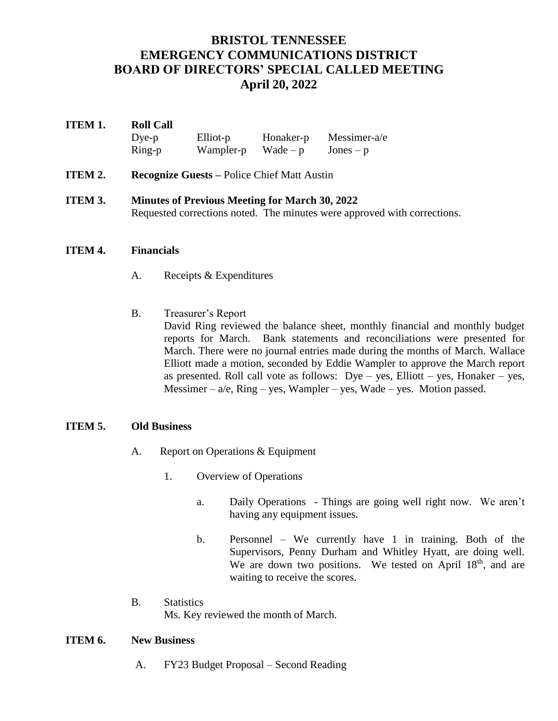# **BRISTOL TENNESSEE EMERGENCY COMMUNICATIONS DISTRICT BOARD OF DIRECTORS' SPECIAL CALLED MEETING April 20, 2022**

## **ITEM 1. Roll Call** Dye-p Elliot-p Honaker-p Messimer-a/e  $Ring-p$  Wampler-p Wade – p Jones – p

- **ITEM 2. Recognize Guests Police Chief Matt Austin**
- **ITEM 3. Minutes of Previous Meeting for March 30, 2022** Requested corrections noted. The minutes were approved with corrections.

#### **ITEM 4. Financials**

- A. Receipts & Expenditures
- B. Treasurer's Report David Ring reviewed the balance sheet, monthly financial and monthly budget reports for March. Bank statements and reconciliations were presented for March. There were no journal entries made during the months of March. Wallace Elliott made a motion, seconded by Eddie Wampler to approve the March report as presented. Roll call vote as follows:  $Dye - yes$ , Elliott – yes, Honaker – yes, Messimer –  $a/e$ , Ring – yes, Wampler – yes, Wade – yes. Motion passed.

### **ITEM 5. Old Business**

- A. Report on Operations & Equipment
	- 1. Overview of Operations
		- a. Daily Operations Things are going well right now. We aren't having any equipment issues.
		- b. Personnel We currently have 1 in training. Both of the Supervisors, Penny Durham and Whitley Hyatt, are doing well. We are down two positions. We tested on April  $18<sup>th</sup>$ , and are waiting to receive the scores.
- B. Statistics

Ms. Key reviewed the month of March.

#### **ITEM 6. New Business**

A. FY23 Budget Proposal – Second Reading